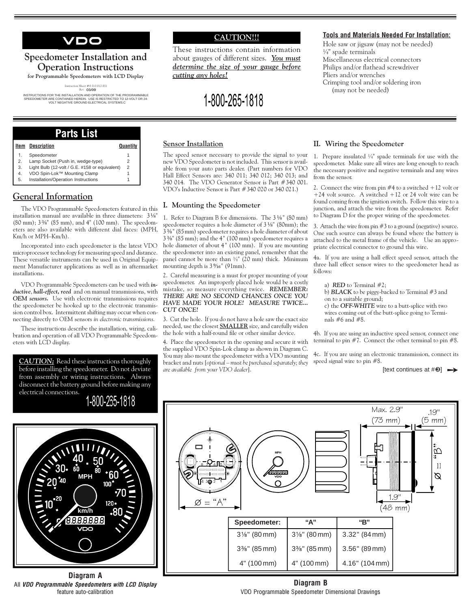VDO

# Speedometer Installation and **Operation Instructions**

for Programmable Speedometers with LCD Display

 $\begin{array}{l} {\rm{Instruction \; Sheet}} \neq 0 \; 515 \; 012 \; 051 \\ {\rm{Re}}^\mathrm{t} \quad 03/09 \end{array}$ 

UNSTRUCTIONS FOR THE INSTALLATION AND OPERATION OF THE PROGRAMMABLE<br>SPEEDOMETER ARE CONTAINED HEREIN. USE IS RESTRICTED TO 12-VOLT OR 24-<br>VOLT NEGATIVE GROUND ELECTRICAL SYSTEMS.C

## **CAUTION!!!**

These instructions contain information about gauges of different sizes. You must determine the size of your gauge before cutting any holes!

# 1-800-265-1818

#### **Tools and Materials Needed For Installation:**

Hole saw or jigsaw (may not be needed)  $\frac{1}{4}$ " spade terminals Miscellaneous electrical connectors Philips and/or flathead screwdriver Pliers and/or wrenches Crimping tool and/or soldering iron (may not be needed)

## **Parts List**

| Item | <b>Description</b>                             | Quantity |
|------|------------------------------------------------|----------|
| 1.   | Speedometer                                    |          |
| 2.   | Lamp Socket (Push in, wedge-type)              |          |
| 3.   | Light Bulb (12-volt / G.E. #158 or equivalent) | 2        |
| 4.   | VDO Spin-Lok™ Mounting Clamp                   |          |
| 5.   | Installation/Operation Instructions            |          |

## **General Information**

The VDO Programmable Speedometers featured in this installation manual are available in three diameters: 31/8" (80 mm); 3 %" (85 mm), and 4" (100 mm). The speedometers are also available with different dial faces: (MPH, Km/h or MPH-Km/h).

Incorporated into each speedometer is the latest VDO microprocessor technology for measuring speed and distance. These versatile instruments can be used in Original Equipment Manufacturer applications as well as in aftermarket installations

VDO Programmable Speedometers can be used with inductive, hall-effect, reed and on manual transmissions, with **OEM** sensors. Use with electronic transmissions requires the speedometer be hooked up to the electronic transmission control box. Intermittent shifting may occur when connecting directly to OEM sensors in electronic transmissions.

These instructions describe the installation, wiring, calibration and operation of all VDO Programmable Speedometers with LCD display.

**CAUTION**; Read these instructions thoroughly before installing the speedometer. Do not deviate from assembly or wiring instructions. Always disconnect the battery ground before making any electrical connections.



km/h 18.8.8.8.8.8

Diagram A All VDO Programmable Speedometers with LCD Display feature auto-calibration

#### **Sensor Installation**

The speed sensor necessary to provide the signal to your new VDO Speedometer is not included. This sensor is available from your auto parts dealer. (Part numbers for VDO Hall Effect Sensors are: 340 011; 340 012; 340 013; and 340 014. The VDO Generator Sensor is Part #340 001. VDO's Inductive Sensor is Part #340 020 or 340 021.)

#### I. Mounting the Speedometer

1. Refer to Diagram B for dimensions. The 3 1/8" (80 mm) speedometer requires a hole diameter of 3 1/8" (80mm); the  $3\frac{1}{3}\%$ " (85 mm) speedometer requires a hole diameter of about  $3\frac{3}{8}$ " (85 mm); and the 4" (100 mm) speedometer requires a hole diameter of about 4" (100 mm). If you are mounting the speedometer into an existing panel, remember that the panel cannot be more than  $\frac{3}{4}$ " (20 mm) thick. Minimum mounting depth is  $3\%$ <sup>"</sup> (91mm).

2. Careful measuring is a must for proper mounting of your speedometer. An improperly placed hole would be a costly mistake, so measure everything twice. REMEMBER: THERE ARE NO SECOND CHANCES ONCE YOU HAVE MADE YOUR HOLE! MEASURE TWICE... **CUT ONCE!** 

3. Cut the hole. If you do not have a hole saw the exact size needed, use the closest **SMALLER** size, and carefully widen the hole with a half-round file or other similar device.

4. Place the speedometer in the opening and secure it with the supplied VDO Spin-Lok clamp as shown in Diagram C. You may also mount the speedometer with a VDO mounting bracket and nuts [optional - must be purchased separately; they are available from your VDO dealer].

#### II. Wiring the Speedometer

1. Prepare insulated  $\frac{1}{4}$  spade terminals for use with the speedometer. Make sure all wires are long enough to reach the necessary positive and negative terminals and any wires from the sensor.

2. Connect the wire from pin  $#4$  to a switched  $+12$  volt or +24 volt source. A switched +12 or 24 volt wire can be found coming from the ignition switch. Follow this wire to a junction, and attach the wire from the speedometer. Refer to Diagram D for the proper wiring of the speedometer.

3. Attach the wire from pin  $#3$  to a ground (negative) source. One such source can always be found where the battery is attached to the metal frame of the vehicle. Use an appropriate electrical connector to ground this wire.

4a. If you are using a hall effect speed sensor, attach the three hall effect sensor wires to the speedometer head as follows:

a) **RED** to Terminal  $#2$ ;

b) BLACK to be piggy-backed to Terminal #3 and on to a suitable ground:

c) the OFF-WHITE wire to a butt-splice with two wires coming out of the butt-splice going to Terminals  $#6$  and  $#8$ .

4b. If you are using an inductive speed sensor, connect one terminal to pin  $#7$ . Connect the other terminal to pin  $#8$ .

4c. If you are using an electronic transmission, connect its speed signal wire to pin #8.

Thext continues at  $\#\mathbf{0}$   $\longrightarrow$ 



Diagram B VDO Programmable Speedometer Dimensional Drawings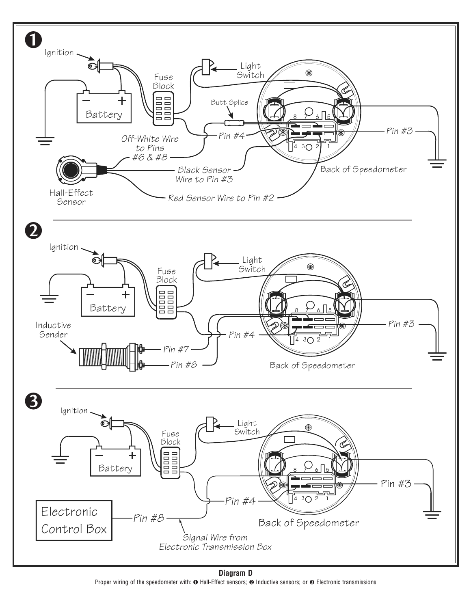

Diagram D Proper wiring of the speedometer with: **O** Hall-Effect sensors; **O** Inductive sensors; or **O** Electronic transmissions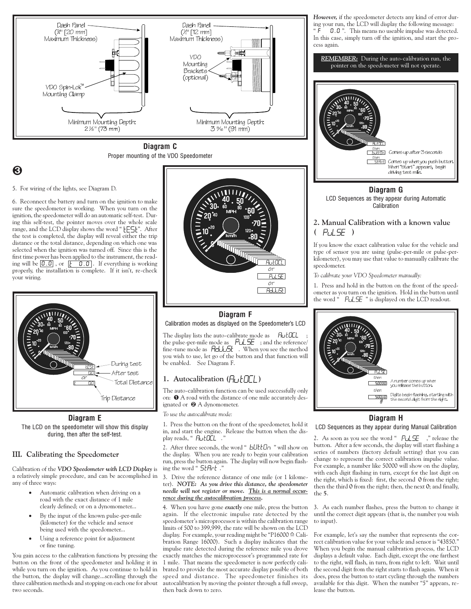

Diagram C Proper mounting of the VDO Speedometer

## 8

5. For wiring of the lights, see Diagram D.

6. Reconnect the battery and turn on the ignition to make sure the speedometer is working. When you turn on the ignition, the speedometer will do an automatic self-test. During this self-test, the pointer moves over the whole scale range, and the LCD display shows the word " [ES]". After the test is completed, the display will reveal either the trip distance or the total distance, depending on which one was selected when the ignition was turned off. Since this is the first time power has been applied to the instrument, the reading will be  $\boxed{0.0}$ , or  $\boxed{t \quad 0.0}$ . If everything is working properly, the installation is complete. If it isn't, re-check your wiring.



Diagram E The LCD on the speedometer will show this display during, then after the self-test.

#### III. Calibrating the Speedometer

Calibration of the VDO Speedometer with LCD Display is a relatively simple procedure, and can be accomplished in any of three ways:

- Automatic calibration when driving on a road with the exact distance of 1 mile clearly defined; or on a dynomometer...
- By the input of the known pulse-per-mile (kilometer) for the vehicle and sensor being used with the speedometer...
- Using a reference point for adjustment or fine tuning.

You gain access to the calibration functions by pressing the button on the front of the speedometer and holding it in while you turn on the ignition. As you continue to hold in the button, the display will change...scrolling through the three calibration methods and stopping on each one for about two seconds.



## Diagram F Calibration modes as displayed on the Speedometer's LCD

The display lists the auto-calibrate mode as **AutOCL** the pulse-per-mile mode as PuLSE ; and the reference/ fine-tune mode as  $H dU \rightarrow$ . When you see the method you wish to use, let go of the button and that function will be enabled. See Diagram F.

#### 1. Autocalibration  $(H_U | H_U)$

The auto-calibration function can be used successfully only on: O A road with the distance of one mile accurately designated or  $\Theta$  A dynomometer.

To use the autocalibrate mode:

1. Press the button on the front of the speedometer, hold it in, and start the engine. Release the button when the display reads, " *HutO*CL .

2. After three seconds, the word " bUttOn " will show on the display. When you are ready to begin your calibration run, press the button again. The display will now begin flashing the word " 5tHrt.

#### 3. Drive the reference distance of one mile (or 1 kilometer). NOTE: As you drive this distance, the speedometer needle will not register or move. This is a normal occurrence during the autocalibration process.

4. When you have gone exactly one mile, press the button again. If the electronic impulse rate detected by the speedometer's microprocessor is within the calibration range limits of 500 to 399,999, the rate will be shown on the LCD display. For example, your reading might be "P16000  $\hat{=}$  Calibration Range 16000). Such a display indicates that the impulse rate detected during the reference mile you drove exactly matches the microprocessor's programmed rate for 1 mile. That means the speedometer is now perfectly calibrated to provide the most accurate display possible of both speed and distance. The speedometer finishes its autocalibration by moving the pointer through a full sweep, then back down to zero.

However, if the speedometer detects any kind of error during your run, the LCD will display the following message: 0.0". This means no useable impulse was detected. In this case, simply turn off the ignition, and start the process again.





Diagram G LCD Sequences as they appear during Automatic Calibration

#### 2. Manual Calibration with a known value  $(PuLSE)$

If you know the exact calibration value for the vehicle and type of sensor you are using (pulse-per-mile or pulse-perkilometer), you may use that value to manually calibrate the speedometer.

To calibrate your VDO Speedometer manually:

1. Press and hold in the button on the front of the speedometer as you turn on the ignition. Hold in the button until the word " PuLSE " is displayed on the LCD readout.



#### Diagram H

LCD Sequences as they appear during Manual Calibration

2. As soon as you see the word "PuLSE", " release the button. After a few seconds, the display will start flashing a series of numbers (factory default setting) that you can change to represent the correct calibration impulse value. For example, a number like 50000 will show on the display, with each digit flashing in turn, except for the last digit on the right, which is fixed: first, the second 0 from the right; then the third 0 from the right; then, the next 0; and finally,  $the 5.$ 

3. As each number flashes, press the button to change it until the correct digit appears (that is, the number you wish to input).

For example, let's say the number that represents the correct calibration value for your vehicle and sensor is "43850." When you begin the manual calibration process, the LCD displays a default value. Each digit, except the one farthest to the right, will flash, in turn, from right to left. Wait until the second digit from the right starts to flash again. When it does, press the button to start cycling through the numbers available for this digit. When the number "5" appears, release the button.